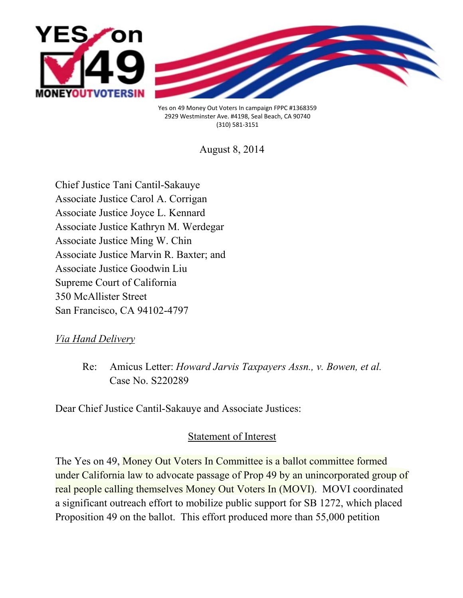

Yes on 49 Money Out Voters In campaign FPPC #1368359 2929 Westminster Ave. #4198, Seal Beach, CA 90740 (310) 581-3151

August 8, 2014

Chief Justice Tani Cantil-Sakauye Associate Justice Carol A. Corrigan Associate Justice Joyce L. Kennard Associate Justice Kathryn M. Werdegar Associate Justice Ming W. Chin Associate Justice Marvin R. Baxter; and Associate Justice Goodwin Liu Supreme Court of California 350 McAllister Street San Francisco, CA 94102-4797

*Via Hand Delivery*

Re: Amicus Letter: *Howard Jarvis Taxpayers Assn., v. Bowen, et al.* Case No. S220289

Dear Chief Justice Cantil-Sakauye and Associate Justices:

# Statement of Interest

The Yes on 49, Money Out Voters In Committee is a ballot committee formed under California law to advocate passage of Prop 49 by an unincorporated group of real people calling themselves Money Out Voters In (MOVI). MOVI coordinated a significant outreach effort to mobilize public support for SB 1272, which placed Proposition 49 on the ballot. This effort produced more than 55,000 petition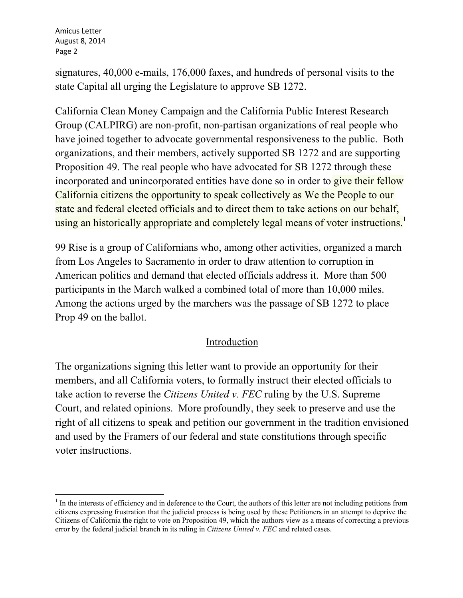signatures, 40,000 e-mails, 176,000 faxes, and hundreds of personal visits to the state Capital all urging the Legislature to approve SB 1272.

California Clean Money Campaign and the California Public Interest Research Group (CALPIRG) are non-profit, non-partisan organizations of real people who have joined together to advocate governmental responsiveness to the public. Both organizations, and their members, actively supported SB 1272 and are supporting Proposition 49. The real people who have advocated for SB 1272 through these incorporated and unincorporated entities have done so in order to give their fellow California citizens the opportunity to speak collectively as We the People to our state and federal elected officials and to direct them to take actions on our behalf, using an historically appropriate and completely legal means of voter instructions.<sup>1</sup>

99 Rise is a group of Californians who, among other activities, organized a march from Los Angeles to Sacramento in order to draw attention to corruption in American politics and demand that elected officials address it. More than 500 participants in the March walked a combined total of more than 10,000 miles. Among the actions urged by the marchers was the passage of SB 1272 to place Prop 49 on the ballot.

### Introduction

The organizations signing this letter want to provide an opportunity for their members, and all California voters, to formally instruct their elected officials to take action to reverse the *Citizens United v. FEC* ruling by the U.S. Supreme Court, and related opinions. More profoundly, they seek to preserve and use the right of all citizens to speak and petition our government in the tradition envisioned and used by the Framers of our federal and state constitutions through specific voter instructions.

 $<sup>1</sup>$  In the interests of efficiency and in deference to the Court, the authors of this letter are not including petitions from</sup> citizens expressing frustration that the judicial process is being used by these Petitioners in an attempt to deprive the Citizens of California the right to vote on Proposition 49, which the authors view as a means of correcting a previous error by the federal judicial branch in its ruling in *Citizens United v. FEC* and related cases.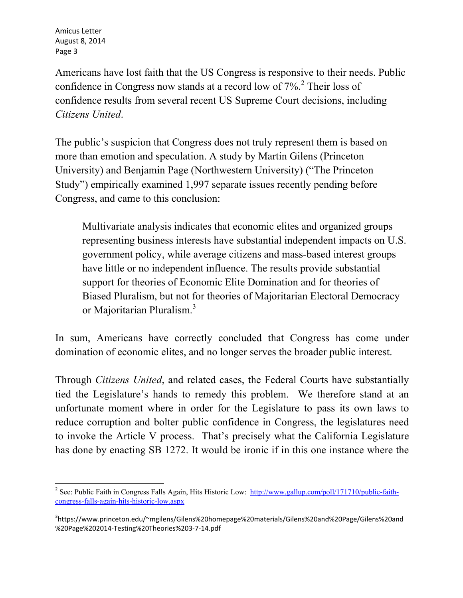Americans have lost faith that the US Congress is responsive to their needs. Public confidence in Congress now stands at a record low of  $7\%$ <sup>2</sup>. Their loss of confidence results from several recent US Supreme Court decisions, including *Citizens United*.

The public's suspicion that Congress does not truly represent them is based on more than emotion and speculation. A study by Martin Gilens (Princeton University) and Benjamin Page (Northwestern University) ("The Princeton Study") empirically examined 1,997 separate issues recently pending before Congress, and came to this conclusion:

Multivariate analysis indicates that economic elites and organized groups representing business interests have substantial independent impacts on U.S. government policy, while average citizens and mass-based interest groups have little or no independent influence. The results provide substantial support for theories of Economic Elite Domination and for theories of Biased Pluralism, but not for theories of Majoritarian Electoral Democracy or Majoritarian Pluralism.<sup>3</sup>

In sum, Americans have correctly concluded that Congress has come under domination of economic elites, and no longer serves the broader public interest.

Through *Citizens United*, and related cases, the Federal Courts have substantially tied the Legislature's hands to remedy this problem. We therefore stand at an unfortunate moment where in order for the Legislature to pass its own laws to reduce corruption and bolter public confidence in Congress, the legislatures need to invoke the Article V process. That's precisely what the California Legislature has done by enacting SB 1272. It would be ironic if in this one instance where the

<sup>2</sup> See: Public Faith in Congress Falls Again, Hits Historic Low: http://www.gallup.com/poll/171710/public-faithcongress-falls-again-hits-historic-low.aspx

<sup>3</sup> https://www.princeton.edu/~mgilens/Gilens%20homepage%20materials/Gilens%20and%20Page/Gilens%20and %20Page%202014-Testing%20Theories%203-7-14.pdf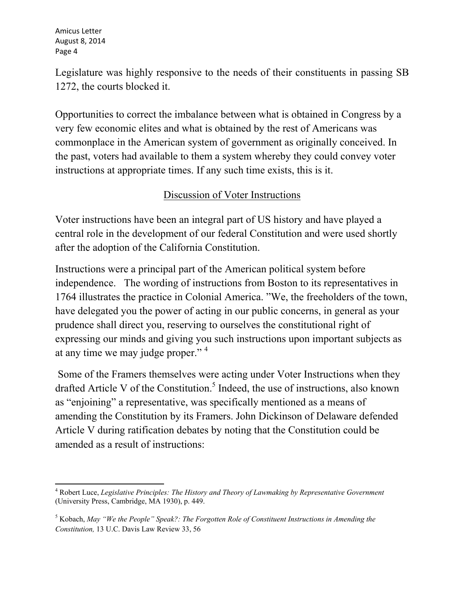Legislature was highly responsive to the needs of their constituents in passing SB 1272, the courts blocked it.

Opportunities to correct the imbalance between what is obtained in Congress by a very few economic elites and what is obtained by the rest of Americans was commonplace in the American system of government as originally conceived. In the past, voters had available to them a system whereby they could convey voter instructions at appropriate times. If any such time exists, this is it.

# Discussion of Voter Instructions

Voter instructions have been an integral part of US history and have played a central role in the development of our federal Constitution and were used shortly after the adoption of the California Constitution.

Instructions were a principal part of the American political system before independence. The wording of instructions from Boston to its representatives in 1764 illustrates the practice in Colonial America. "We, the freeholders of the town, have delegated you the power of acting in our public concerns, in general as your prudence shall direct you, reserving to ourselves the constitutional right of expressing our minds and giving you such instructions upon important subjects as at any time we may judge proper."<sup>4</sup>

 Some of the Framers themselves were acting under Voter Instructions when they drafted Article V of the Constitution.<sup>5</sup> Indeed, the use of instructions, also known as "enjoining" a representative, was specifically mentioned as a means of amending the Constitution by its Framers. John Dickinson of Delaware defended Article V during ratification debates by noting that the Constitution could be amended as a result of instructions:

4 Robert Luce, *Legislative Principles: The History and Theory of Lawmaking by Representative Government*  (University Press, Cambridge, MA 1930), p. 449.

<sup>5</sup> Kobach, *May "We the People" Speak?: The Forgotten Role of Constituent Instructions in Amending the Constitution,* 13 U.C. Davis Law Review 33, 56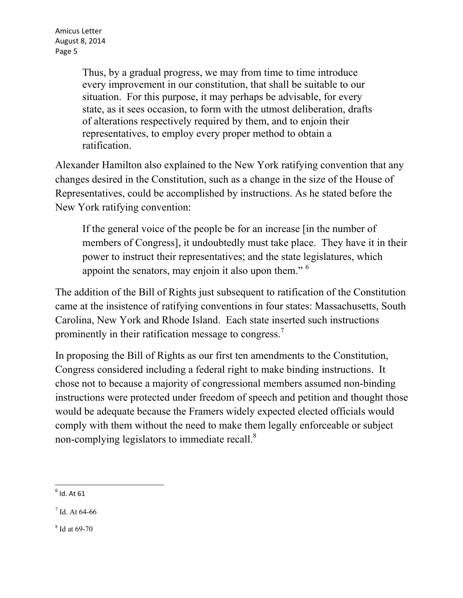Thus, by a gradual progress, we may from time to time introduce every improvement in our constitution, that shall be suitable to our situation. For this purpose, it may perhaps be advisable, for every state, as it sees occasion, to form with the utmost deliberation, drafts of alterations respectively required by them, and to enjoin their representatives, to employ every proper method to obtain a ratification.

Alexander Hamilton also explained to the New York ratifying convention that any changes desired in the Constitution, such as a change in the size of the House of Representatives, could be accomplished by instructions. As he stated before the New York ratifying convention:

If the general voice of the people be for an increase [in the number of members of Congress], it undoubtedly must take place. They have it in their power to instruct their representatives; and the state legislatures, which appoint the senators, may enjoin it also upon them." <sup>6</sup>

The addition of the Bill of Rights just subsequent to ratification of the Constitution came at the insistence of ratifying conventions in four states: Massachusetts, South Carolina, New York and Rhode Island. Each state inserted such instructions prominently in their ratification message to congress.<sup>7</sup>

In proposing the Bill of Rights as our first ten amendments to the Constitution, Congress considered including a federal right to make binding instructions. It chose not to because a majority of congressional members assumed non-binding instructions were protected under freedom of speech and petition and thought those would be adequate because the Framers widely expected elected officials would comply with them without the need to make them legally enforceable or subject non-complying legislators to immediate recall.<sup>8</sup>

 $<sup>6</sup>$  Id. At 61</sup>

<sup>7</sup> Id. At 64-66

<sup>8</sup> Id at 69-70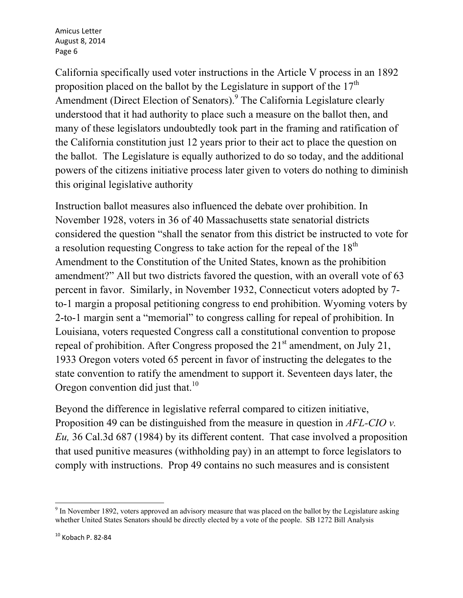California specifically used voter instructions in the Article V process in an 1892 proposition placed on the ballot by the Legislature in support of the  $17<sup>th</sup>$ Amendment (Direct Election of Senators).<sup>9</sup> The California Legislature clearly understood that it had authority to place such a measure on the ballot then, and many of these legislators undoubtedly took part in the framing and ratification of the California constitution just 12 years prior to their act to place the question on the ballot. The Legislature is equally authorized to do so today, and the additional powers of the citizens initiative process later given to voters do nothing to diminish this original legislative authority

Instruction ballot measures also influenced the debate over prohibition. In November 1928, voters in 36 of 40 Massachusetts state senatorial districts considered the question "shall the senator from this district be instructed to vote for a resolution requesting Congress to take action for the repeal of the 18<sup>th</sup> Amendment to the Constitution of the United States, known as the prohibition amendment?" All but two districts favored the question, with an overall vote of 63 percent in favor. Similarly, in November 1932, Connecticut voters adopted by 7 to-1 margin a proposal petitioning congress to end prohibition. Wyoming voters by 2-to-1 margin sent a "memorial" to congress calling for repeal of prohibition. In Louisiana, voters requested Congress call a constitutional convention to propose repeal of prohibition. After Congress proposed the  $21<sup>st</sup>$  amendment, on July 21, 1933 Oregon voters voted 65 percent in favor of instructing the delegates to the state convention to ratify the amendment to support it. Seventeen days later, the Oregon convention did just that.<sup>10</sup>

Beyond the difference in legislative referral compared to citizen initiative, Proposition 49 can be distinguished from the measure in question in *AFL-CIO v. Eu,* 36 Cal.3d 687 (1984) by its different content. That case involved a proposition that used punitive measures (withholding pay) in an attempt to force legislators to comply with instructions. Prop 49 contains no such measures and is consistent

<sup>&</sup>lt;sup>9</sup> In November 1892, voters approved an advisory measure that was placed on the ballot by the Legislature asking whether United States Senators should be directly elected by a vote of the people. SB 1272 Bill Analysis

 $10$  Kobach P. 82-84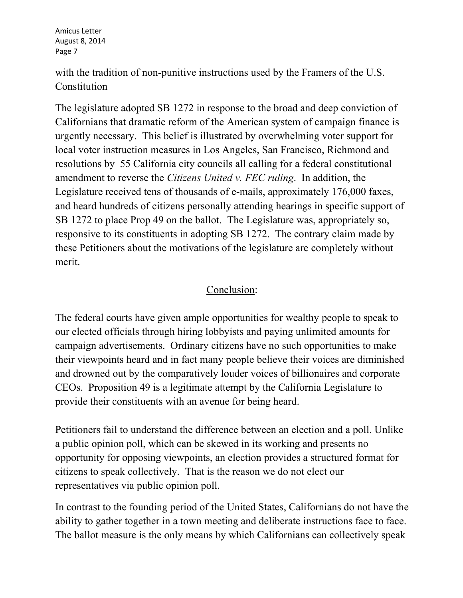with the tradition of non-punitive instructions used by the Framers of the U.S. Constitution

The legislature adopted SB 1272 in response to the broad and deep conviction of Californians that dramatic reform of the American system of campaign finance is urgently necessary. This belief is illustrated by overwhelming voter support for local voter instruction measures in Los Angeles, San Francisco, Richmond and resolutions by 55 California city councils all calling for a federal constitutional amendment to reverse the *Citizens United v. FEC ruling*. In addition, the Legislature received tens of thousands of e-mails, approximately 176,000 faxes, and heard hundreds of citizens personally attending hearings in specific support of SB 1272 to place Prop 49 on the ballot. The Legislature was, appropriately so, responsive to its constituents in adopting SB 1272. The contrary claim made by these Petitioners about the motivations of the legislature are completely without merit.

## Conclusion:

The federal courts have given ample opportunities for wealthy people to speak to our elected officials through hiring lobbyists and paying unlimited amounts for campaign advertisements. Ordinary citizens have no such opportunities to make their viewpoints heard and in fact many people believe their voices are diminished and drowned out by the comparatively louder voices of billionaires and corporate CEOs. Proposition 49 is a legitimate attempt by the California Legislature to provide their constituents with an avenue for being heard.

Petitioners fail to understand the difference between an election and a poll. Unlike a public opinion poll, which can be skewed in its working and presents no opportunity for opposing viewpoints, an election provides a structured format for citizens to speak collectively. That is the reason we do not elect our representatives via public opinion poll.

In contrast to the founding period of the United States, Californians do not have the ability to gather together in a town meeting and deliberate instructions face to face. The ballot measure is the only means by which Californians can collectively speak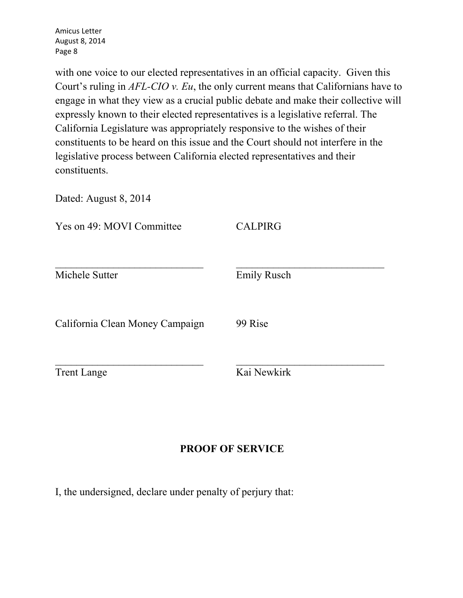with one voice to our elected representatives in an official capacity. Given this Court's ruling in *AFL-CIO v. Eu*, the only current means that Californians have to engage in what they view as a crucial public debate and make their collective will expressly known to their elected representatives is a legislative referral. The California Legislature was appropriately responsive to the wishes of their constituents to be heard on this issue and the Court should not interfere in the legislative process between California elected representatives and their constituents.

Dated: August 8, 2014

| Yes on 49: MOVI Committee       | <b>CALPIRG</b>     |
|---------------------------------|--------------------|
| Michele Sutter                  | <b>Emily Rusch</b> |
| California Clean Money Campaign | 99 Rise            |
| <b>Trent Lange</b>              | Kai Newkirk        |

### **PROOF OF SERVICE**

I, the undersigned, declare under penalty of perjury that: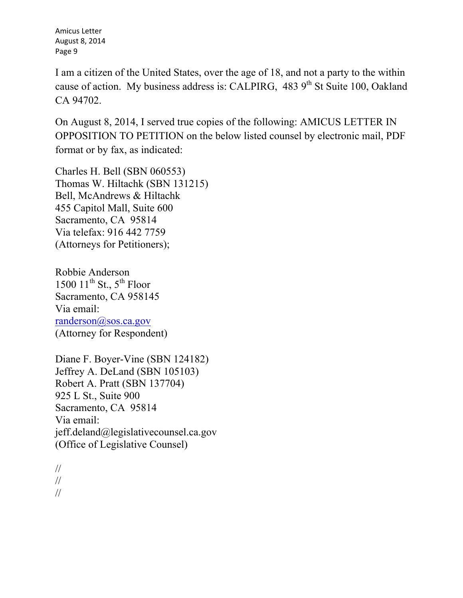I am a citizen of the United States, over the age of 18, and not a party to the within cause of action. My business address is: CALPIRG,  $483.9<sup>th</sup>$  St Suite 100, Oakland CA 94702.

On August 8, 2014, I served true copies of the following: AMICUS LETTER IN OPPOSITION TO PETITION on the below listed counsel by electronic mail, PDF format or by fax, as indicated:

Charles H. Bell (SBN 060553) Thomas W. Hiltachk (SBN 131215) Bell, McAndrews & Hiltachk 455 Capitol Mall, Suite 600 Sacramento, CA 95814 Via telefax: 916 442 7759 (Attorneys for Petitioners);

Robbie Anderson 1500  $11^{th}$  St.,  $5^{th}$  Floor Sacramento, CA 958145 Via email: randerson@sos.ca.gov (Attorney for Respondent)

Diane F. Boyer-Vine (SBN 124182) Jeffrey A. DeLand (SBN 105103) Robert A. Pratt (SBN 137704) 925 L St., Suite 900 Sacramento, CA 95814 Via email: jeff.deland@legislativecounsel.ca.gov (Office of Legislative Counsel)

// // //